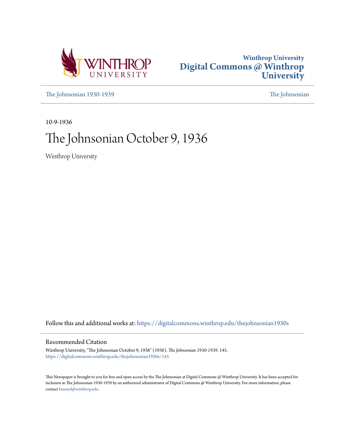



[The Johnsonian 1930-1939](https://digitalcommons.winthrop.edu/thejohnsonian1930s?utm_source=digitalcommons.winthrop.edu%2Fthejohnsonian1930s%2F145&utm_medium=PDF&utm_campaign=PDFCoverPages) [The Johnsonian](https://digitalcommons.winthrop.edu/thejohnsonian_newspaper?utm_source=digitalcommons.winthrop.edu%2Fthejohnsonian1930s%2F145&utm_medium=PDF&utm_campaign=PDFCoverPages)

10-9-1936

# The Johnsonian October 9, 1936

Winthrop University

Follow this and additional works at: [https://digitalcommons.winthrop.edu/thejohnsonian1930s](https://digitalcommons.winthrop.edu/thejohnsonian1930s?utm_source=digitalcommons.winthrop.edu%2Fthejohnsonian1930s%2F145&utm_medium=PDF&utm_campaign=PDFCoverPages)

## Recommended Citation

Winthrop University, "The Johnsonian October 9, 1936" (1936). *The Johnsonian 1930-1939*. 145. [https://digitalcommons.winthrop.edu/thejohnsonian1930s/145](https://digitalcommons.winthrop.edu/thejohnsonian1930s/145?utm_source=digitalcommons.winthrop.edu%2Fthejohnsonian1930s%2F145&utm_medium=PDF&utm_campaign=PDFCoverPages)

This Newspaper is brought to you for free and open access by the The Johnsonian at Digital Commons @ Winthrop University. It has been accepted for inclusion in The Johnsonian 1930-1939 by an authorized administrator of Digital Commons @ Winthrop University. For more information, please contact [bramed@winthrop.edu](mailto:bramed@winthrop.edu).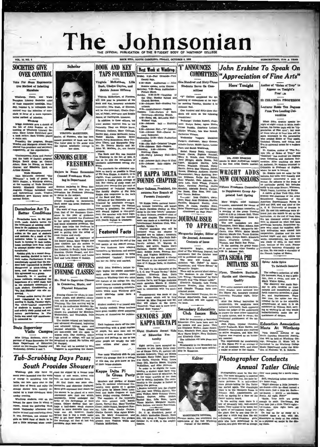# The Johnsonian E OFFICIAL PUBLICATION OF THE STUDENT BODY OF

**BE CARGINAL FRIDAY OCTOBER 4 105** 

SUBSCRIPTION, ELSE A YEAR

## **SOCIETIES GIVE OVER CONTROL**

**VOL. 14, NO. 4** 

Vote For More Representa<br>tive Method of Selecting<br>Marshals

Tinthrop, Ourry, and Wade<br>npian Literary Societies voted<br>their respective meetings, Mon-<br>. October 5, to relinquish their<br>rol over the selection of mara in favor of a more represe mothod of selection

Ningga Anderson gave a sketch of the of John Erskins at the sting of Winthrop Literary So-<br>19. Mary Louise Ratchford gave<br>19. Mary Louise Ratchford gave<br>19. Mary Louise Ratchford gave<br>19. Mary Louise Tribble played

in solo,<br>beding the program, Emmission and Margaret Altman were<br>d vice-president and secretary<br>tively, of the organization.

espectively, of the organization.<br>"Contemporary Poets and Poetry"<br>raj the topic of Curry's propram<br>relyn Brock spake on Conrad<br>Hers; Rom La Hucks, on Robert<br>river and Ethabeth Byrd, on<br>where and Ethabeth Byrd, on

Nest and Ethiabeth Dyrd, on<br>htm Symons.<br>Wele Hampion Melands reviewed "Say<br>san McLaurin reviewed "Say<br>sangs," a book of poems by<br>th Pracier, a Winkhype alumna,<br>tich mecking of Wade Hampione<br>isiy. Elizabeth Colhran and<br>i ha usmas<br>Ith 19  $+1$ and instru

### Dormitories Act To **Better** Conditions

severalized<br>as have, in the past several latter have, in the past statement of existing<br>recolled to the residence halls. The residence halls, rapid of residence<br>a latter residence halls. In the residence hall matrons. As a  $\overline{A}$ 

Horien.<br>Eesy girls, in a recent dermination of the setting, decided to turn in<br>radios, Furthermore M was<br>imously agreed that the sta-<br>body represented in Roddey d of hitch-hiking to led to end n, and is

nd intended to enforce<br>osmost as a group.<br>wit, in a meeting of<br>unidents, emphasized the<br>non of a quiet study hall<br>need as a substration of<br>unitent, Consideration of<br>a Diatarbe" was also re-

# **State**

pervisor of Home Economics for the permitten to attenue we turned with<br>State Department of Education, be charged.<br>visited on the campus Tuesday and Mr. Noal will be assisted by Miss<br>Wednesday, October 6 and 7. Coggans in s



Scholar

Elizabeth Cothran, Mary Gallman VIRODIA MCKETTHEN, Rachel Hay, Allene McDaniel, Laur<br>Vance Marion, Martha Mille nce Marion, Martha Mille tor, of Florence, who has been Vano nentor, or Francisco, who must been<br>named president of Book and Key.<br>The honor goes to the senior with<br>the highest acholastic average in moore, came rommonds, sarry cur-<br>aims Ulmer, and Marguerite Zeig-<br>ler. Dr. Donnis Martin and Mr<br>John W. McCain, Jr., are faculty her class.

Bobbie James Officers

ook and Key, honorary scholas:<br>:aternity; Lilla Bush, of Ellento

will be vice-president; Gladys Gutton, of Pelser, secretary; and Bobb

James, of Darlington, treasurer,

James, or Darmington, treasurer,<br>In addition to these officers, ten<br>other seniors received bids to the<br>fraternity. They are Ethlyn Berry,

mt of th

ary sche

Virginia McReithen, of Fine

will this year be pressured,

dvisers.<br>The Book and Key was founded<br>to Winkhop in the fail of 1934. It<br>as at its aim the recognition of<br>cholastic achievement among stu-**SENIORS GUIDE FRESHMEN** 

### Majors in Home Econ **Counsel Freshmen Work-**Ing in Department

dents.<br>The standards for admission con-<br>Term as nearly as possible to those<br>of Phi Beta Kappa. A student, to be<br>eligible, must maintain for six set-<br>mesters a quality point average of<br>2.50. Her course of study must not<br>2.5 Beniors majoring in Home Eco-<br>nomics are serving this year as councile: for Preakmen planaling<br>to major in the subject.<br>The freehmen are divided into<br>The return are divided into<br>groups according to dormitories.<br>Ench sendor

our<br>sters a quality point average of 2000, methods one of any more of the<br>gradient control of the percention of the percention of the percent<br>of the percent of the percent of the percent of the Bost<br>of the Book and Key.<br>C

Stack seator has a<br>reven freehmen in Tark seator freehmen in the seator of these seators different<br>from that of the Preshmen County for the policy in the plane of guidance.<br>Each senies counting personal the Preshmen in San **Featured Facts** 

Cheble Raussell is charman of<br>the Samon France Schedule and Jame Childers are the seniors in Bancer<br>(1. News Harper to Newth), and James Childers are the Schedule Policy<br>Disc Cronicy, in South; Ruby Louise<br>Hautsen, Christi Wednesday marked the end of the first month of the 1936-37 session By now freshmen have adapted have become ancustomed to being<br>unchallenged "leaders". Everyon has her rut fairly well marked.

### **COLLEGE OFFERS** with begins the annual entertain-<br>ment series which attracts more<br>visitors to Winthrop than any other<br>one feature of the college life. The **EVENING CLASSES**

Mr. Noel to Supervise Classe In Commerce, Music, and **Physical Education** 

Artist Course numbers provide the opportunity for attending entertainments which most Winthrop girls

and the<br>state of the strengthenia of the state of the state of the state of the<br>state of the state of the state of the state of the state of the state<br>in the state of the state of the state of the state of the state of th

Tub-Scrubbing Days Pass;

With John Evakine's 1

Tub-Scrubbing Days Pass; we can see the see the see the see the see the see the see that the see the see the see the see the see the see the see the see the see the see the see the see the see the see the see the see the s

**BOOK AND KEY Next Week at Winthrop TAPS FOURTEEN** May, 2:18-Fair Grounds-York anty Pair. Virginia McKelthen, Lilk 8:00-Main Audi **Rush, Gladys Guyton, and** 

Erskine speaks, Artist Course.<br>turday, 7:30-histo Auditorium ura Show.<br>9:30-12:00  $P<sub>1</sub>$ the City; But

rch S

Formulates 1991<br>
1992 - Amphitheates - Vespera,<br>
1993 - Amphitheates - Vespera,<br>
1993 - Dormitory - Morning Watch,<br>
1993 - Widers' Club, McLaurin Hall<br>
2093 - Widers' Club,<br>
2004 - Manus 2004<br>
2004 - Amphitheat Club,<br>
2004

-Vespers.<br>"<sup>ann</sup> Hall -

-Johnson<br>|ay. 2:30<br>|lling Cla

"Pi Kappa Delta, national henor<br>ary forenate fraternity, will install a South Carullan chapter at Win-<br>throp in the near future," amounc-<br>to the latery Calman, president-elect of the poster chapter. The amounc-<br>the near t

International Resident Research Club, we<br>consider T. Control and the constraints in the chapter is founded a<br>we as follows: homotry, the construction of the construction<br>Drap, and Dr. May T. Alman Resp. and Dr. May T. Amer

nell in connections are made of the<br>
Amazonecerent was made of the<br>
Comic debate witch will be held<br>
Comic debate witch will be held<br>
Neel will celest on the query,<br>
Neel will celest on the query,<br>
"Rescived: That man is m

### **SENIORS JOIN KAPPA DELTA PI**

Eight Students Accept Bids

of Education Fraternity

# One Hundred and Sixty-Three

Students Serve On Committees "Y" Cabinet completed the ap-

pointing of cones at its reguday, October 6, in Johnson Hall.

One hundred and sixty-three of its will serve on the folk cmmittees:

Exchange: Chelale Rustell, chair-<br>Exchange: Chelale Rustell, chair-<br>man; Evelyn Raker, Agnes Hutto,<br>Vivian Buddin, Charlotte Leitner,<br>Gladys Wheeler, Jala Mae Rowell,

Gladys Wheeler, Jian Mar Howen,<br>Catherine Watson.<br>Wednesday Vespers: Madaline<br>Padgett, chalrman; Mary Greene,<br>Athalie Carter, Mable Carter, Louise Pant, and Sarah Westbro

 $\begin{minipage}[t]{\textbf{{}~~{minimize}} \textbf{{}~~{minimize}} \textbf{{}~~{minimize}} \textbf{{}~~{minimize}} \textbf{{}~~{minimize}} \textbf{{}~~{minimize}} \textbf{{}~~{minimize}} \textbf{{}~~{minimize}} \textbf{{}~~{minimize}} \textbf{{}~~{minimize}} \textbf{{}~~{minimize}} \textbf{{}~~{minimize}} \textbf{{}~~{minimize}} \textbf{{}~~{minimize}} \textbf{{}~~{minimize}} \textbf{{}~~{minimize}} \textbf{{}~~{minimize}} \textbf{{}~~{minimize}} \textbf{{}~~{minimize}} \textbf{{}~~{minimize}} \textbf{{}~~{minimize}} \$ 

**JOURNAL ISSUE** 

Marguerite Zeigler, Editor of the Journal, Announces

Five active members and one hon-<br>orany member were infitting into  $\overline{z}$  as sigma. Ph), hence<br>ary cannoted into the state of the state of the state of the state<br> $\overline{z}$  are 3.<br>be: 3. (a) determined internal internal me Secondary Education<br>Club Issues Bids

to Latin syntax, and to re Bids for membership at Seconda<br>Siucation Club have been sent its smaler and one junior. The<br>term and one junior. The<br>merelizabeth Waker, Anne Rocenter<br>Mary Hayes Zeigler, Mary Wright<br>Kirg Hayes Zeigler, Mary Oslima<br>md Eliz The initiat n will take place not

 $M$ 

stion Club is based upon so ship in Education.

**Editor** 





**IS COLUMBIA PROFESSOR** 

Lecturer Holds Ten Degr From Two Leading Uni-

vergities

When John Erakies speaks to<br>night at eight o'clock in Main Audi-<br>locitum, his formal topic will be "Appreciation of Pine atta"; but most<br>preciation of Pine atta"; but most be the subset him will be "Appreciation"<br>more int

Whetler, Gate Johnson, Gate Million, Fig. (MINI) author, its adheres to the poets of the state of the state of the state of the state of the state of the state of the state of the state of the state of the state of the st

### Spider Adds Spice To Sabbath Sau

The colleges collection of which<br>tife increases. First, it was a gold-final, there a scale, and now a<br>discrepance space, and now a discrepance space of the discrepancy was made summarized<br>by the discrepance of the first c enauscath in Tuman Hall, serving as warning to all who would<br>indiscriminately make the me-<br>qualistance of spiders.

### **Education Association** Meets At Winthrop

creational punishment or the universe<br>derivated. Jean Fighth, Crystal Theodor<br>Louise Buchardt, Kate Hardin, and<br>Elizabeth Abererombie were receive<br>as active members, and Miss Ne<br>Ingram was received as an honor<br>ary member. Elizabeth Aberecombie sere received and Monter method of the method as selve members, and Miss Neil Printh District method is a halo and in the method in the self of the method of the method of the method of the method of

# **Photographer Conducts**

rely; the

traditional punishment of the un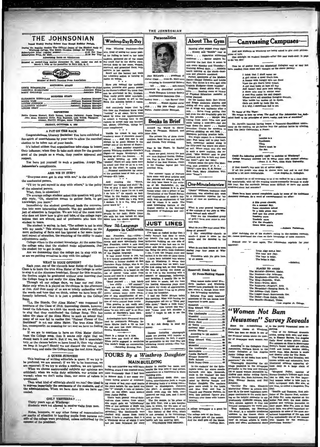|                                                                                                                                      |                                                                              | THE JOHNSONIAN                                                                                                                 |                                                                            |                                                                                                                                                   |
|--------------------------------------------------------------------------------------------------------------------------------------|------------------------------------------------------------------------------|--------------------------------------------------------------------------------------------------------------------------------|----------------------------------------------------------------------------|---------------------------------------------------------------------------------------------------------------------------------------------------|
| THE JOHNSONIAN                                                                                                                       | Winthrop Day By Day                                                          | Personalities                                                                                                                  | <b>About The Gym</b>                                                       | -Canvassing Campuses-                                                                                                                             |
| Issued Wester During School Year Except Holiday Perk                                                                                 |                                                                              |                                                                                                                                |                                                                            |                                                                                                                                                   |
|                                                                                                                                      | Prise Winning Preshman-One                                                   |                                                                                                                                | Dancing after supper every night                                           | And now students at Winthrop are being asked to give shelr philoso-                                                                               |
|                                                                                                                                      | who, tired of seeing her name post-<br>ed for fulling to hand in her table   |                                                                                                                                | . . Kinsey and "Scottin" over at<br>tennis Apparetus attracting            | phies of Life.<br>One sidelight on student thought-after this past week-end: It pays                                                              |
| Advertising Rates on Application                                                                                                     | napkins, gathered six of the nicest                                          |                                                                                                                                | freshmen Senior majors be-                                                 | Lo do 'em dirti                                                                                                                                   |
| kniewed as second-clamp matter November 21, 1929, under the Act of March 3, 1879, at the postoffice in Rock Hill, S. C.              | she could find in the dining room<br>carried them to her room, washed,       |                                                                                                                                | monning the fact that it seems to<br>rain every Monday and Thursday-       | This bit of poetry from the Mississippi Collegian may or may not                                                                                  |
|                                                                                                                                      | starched, and presented them, with<br>nalvete, to her matron.                |                                                                                                                                | Training School days. Athletic                                             | have resulted from some such thought as the above parody:                                                                                         |
|                                                                                                                                      | South got the banner last week                                               | Jean McLaurin president of                                                                                                     | board meeting at the shack-busi-<br>ness and pleasure combined.            | I think that I shall never see                                                                                                                    |
| Member of South Carolina Press Association                                                                                           | for voluntary action in turning in<br>radios en masse.                       | Junior Class from St. Matt. yews                                                                                               | Perfect specimens of the Modern<br>Dance-Happy Coleman and Louise          | A sirl refuse a meal that's free.<br>A femme with hungry eyes not fixed                                                                           |
| <b>EDITORIAL STAFF</b>                                                                                                               | Have you noticed the quotable                                                | majoring in Commercial Science                                                                                                 | Pant. The dance is a sore spot with<br>Virginia Hudgens-those muscles!     | Upon the gin that's being mixed.                                                                                                                  |
|                                                                                                                                      | quotes, proverbs and poems pested                                            | tall  lithe  soft-voiced<br>interested in diversified activities                                                               | Progress: Sweat shirts with 'gun                                           | A girl that looks at boys all day<br>And doesn't lead pure men astray.                                                                            |
|                                                                                                                                      | in the Bursar's office? We think they<br>can be attributed to Mr. Graham.    | . Wade Hampton Literary Society                                                                                                | suits. Reading room or library<br>of Physical Education material is        | A dame who may in winter wear<br>A cost that makes the seal despair.                                                                              |
| <b>BUSINESS STAFF</b>                                                                                                                | They really prove quite entertain-<br>ing, if you happen to get to the       | International Retations Club<br>hockey team Life Savers' Club                                                                  | being planned.                                                             | Whose mind will countless thoughts contain,                                                                                                       |
| <b>LOUISE JOHNSON</b>                                                                                                                | Bank five minutes before it opens.                                           | Sevate  Kappa Epsilon social                                                                                                   | On the hockey field: Bert Marsh<br>and Briggs Anderson slipping and        | Who builds her castles all in Spain.<br>Girls are made by fools like me,                                                                          |
| LOUISE GRAY Circulation Manager                                                                                                      | And everybody hopes that by                                                  | club Big jobs ahead ' Junior                                                                                                   | sliding all over alley territory-the<br>lot of wings and halfbacks after a | E it why, I sometimes fall to see.                                                                                                                |
| <b>REPORTERS</b>                                                                                                                     | this time the Freshmen know what<br>"rushing" is all about. We've been       | Pollier, Junior-Genior Banquet,                                                                                                | rain. Belva Craig getting that                                             | To Guess of The Tiger:                                                                                                                            |
| Hattly Greens Stewart, Ruth Bethes, Lorena Galloway, Jessie Teague, Jean Moss, Ettaway, Harter, Moss, Ruther, Margaret, Anne Tighman | asked by some few upperclassmen                                              |                                                                                                                                | ball even tho she invariably gets hit<br>in the process. Margie Mac        | We refuse to take up areas. The staff of The Johnsonian has de-<br>ated itself to the principles of peace, amily, and love of mankind.            |
|                                                                                                                                      | to submit a warning here to the<br>rushees to accept only one banquet        | <b>Books In Brief</b>                                                                                                          | wiping fresh paint from new goal<br>while taking a nom-dive-but she        | Dr. Jarrell's limerick having begun a Damocrat-Republican contro-                                                                                 |
| FRIDAY, OCTOBER 9, 1936                                                                                                              | bid, please. Otherwise, things be-<br>come complicated.                      | Around the World in Elever.                                                                                                    | kept down the score! Needed<br>invention: Chains for sneakers to           | ersy on the campus, we go further into the political battle by offering.                                                                          |
| <b>A PAT ON THE BACK</b>                                                                                                             | Vanilla ice cream is best with                                               | Years, by Patience, Richard, and                                                                                               | prevent skidding on wet field                                              | from The Daily Californian, a Pome:                                                                                                               |
| Congratulations, Literary Societies! You have exhibited a                                                                            | cranberry sauce if chocolate doesn't                                         | John Abbe.<br>The private life of three clever                                                                                 | danagers puinting practice balls.<br>You might expect it-a freshman        | Landon is a                                                                                                                                       |
| fine spirit of unselfishness by your vote to allow the marshal                                                                       | appear. And this one is old<br>enough to be good: Silence is the             | children, their father and mother,<br>and friends. Very tickling.                                                              | joke: Pun being told to play half-                                         | <b>SunDower</b> .                                                                                                                                 |
| election to be taken out of your hands.<br>It's indeed seldom that organizations take steps to lessen                                | college yell of the School of Experi-                                        |                                                                                                                                | back, newcomer ambled along to<br>the fifty-yard line where she plant-     | Then<br>Hearst must be                                                                                                                            |
| their influence; when they do take such steps for the greater                                                                        | ence. Most popular magazine<br>among Winthrop students-Reader's              | Fear is the Thern, by Rachel<br>Pield. (Poems).                                                                                | ed self. When asked why she was<br>in such a queer position, also re-      | the Sun                                                                                                                                           |
| good of the people as a whola, they receive approval and                                                                             | Digest-or maybe Winthrop's just<br>keeping up with the Joneses. It           | Some are good. Among the best<br>are: New England Gothic, Orches-                                                              | plied, "Miss Wellner said to play                                          | Could the following peeshiy apply to socialize at Winthrop?                                                                                       |
| respect.                                                                                                                             | is surely keeping up with the                                                | ira. Fear is the Thorn, and The                                                                                                | halfback and this is half way down<br>the field!"-give her time!           | College honorary societies are in many cases only mutual ad<br>-Dean J. A. Park, Ohio State University.<br><b>IO ETOURS.</b>                      |
| You have put yourself in such a position. Accept The                                                                                 | "Jessies". There are only three such<br>in school and they all sit in a row, | Ballad of the Seal Woman, which<br>is the familiar legend put 'nto                                                             | Visitors about the gym: Dot Man-<br>ning, past president of A. A. .        |                                                                                                                                                   |
| Jehnsonian's compliments.                                                                                                            | side by the other, in typing class<br>Personal nomination for owner          | metrical form.                                                                                                                 | "Diddy"-now Mrs. H. R. Nelson                                              | If that doesn't, this next bit of advice might:<br>If all the people who sleep in closes were laid and to end they                                |
| ARE WE IN STEP?                                                                                                                      | of the prettiest head of hair on the                                         | The summer issues of Fortune                                                                                                   | Beck Cook, Mary Johnstone. Wel-<br>come "home"!                            | ould'be a lot more comfortable.<br>-Los Angeles Jr. Collegian.                                                                                    |
| "Everyone must get in step with me," is the attitude of campus-Kit Lake.                                                             | $\bullet\quad \bullet$                                                       | have some very good articles and<br>the pletures are always got d. In                                                          |                                                                            | It wouldn't be at all surprising to us if we walked in on a clam aleep-                                                                           |
| the uneducated person.<br>"I'll try to put myself in step with others," is the policy                                                | And rivalling the "Knock<br>Knocks" are "things and stuff." Eg               | the July large thare is the write-<br>up of Mr. Rockefeller, Jr., the                                                          | One-MinuteInterview                                                        | ing comfortably, with all the sleeping hours necessarily devoted to study<br>this year. Has the curricula become more difficult or have our minds |
| of the educated person.                                                                                                              | Tm so glad I don't like spinach,                                             | man whose business it is to give                                                                                               | "Dickie" Williams, freshman class                                          | weakened since last semester?                                                                                                                     |
| What, then, is education?                                                                                                            | cause if I did I know I'd eat it and<br>I do hate it." Or equally as bad:    | money away; also a primer of the<br>Constitution of the United Stetes;                                                         | chairman, was attacked this week                                           | There have been several complaints mode by some of the ambitie                                                                                    |
| The average college student asked this question will prob-<br>ably reply, "Oh, education means to gather facts, to get               | What in the world's wrong with<br>your hair? It looks like a wig. Well       | and illustrations of modern tap-<br>estry, with an explanation of how                                                          | by a Johnsonian reporter for her<br>points of view on questions of in-     | homistry students. As a word of eacouragement we offer:                                                                                           |
| knowledge, you know."                                                                                                                | I declare, it is a wig. Why you'd                                            | and by whom it is made The                                                                                                     | terest:                                                                    | A little green cheadet.                                                                                                                           |
| Immediately the student questioned leads the conversa-<br>tion into more interesting channels. The dry academic sub-                 | never know it."<br>$-1$                                                      | most interesting feature of the<br>August number is the thorough                                                               | What is your general impression                                            | On a summer day,<br>Some chemicals paixed                                                                                                         |
| ject of education is forgotten. We are told of the room mate                                                                         | Begatelles: Mary Courtney wears<br>pencils in her hair; Katie Coker          | discussion of highways and traf-<br>fie.                                                                                       | of the attitude of the girls at Win-<br>throp toward each other?"          | In a little green way.<br>And now the green grass                                                                                                 |
| who does not know how to give and take, of the college regu-                                                                         | sits with her toes turned in: Miss                                           |                                                                                                                                | They are the friendliest group                                             | <b>Tenderly wave</b>                                                                                                                              |
| lations that are absurd, and of professors who bore the atims loves her choric speaking.<br>student to tears.                        |                                                                              |                                                                                                                                | of girls I have ever come in con-<br>tact with.                            | <b>Tenderly wave</b><br>O'er the chemist's                                                                                                        |
| The student is saying, in fact, "The college is not in step New Sil-Language                                                         |                                                                              | <b>JUST LINES</b>                                                                                                              | What do yua like most about Win                                            | Green little grave.<br>-Anhurn Fisiannes                                                                                                          |
| with my needs." This student has defined education as the<br>mere gathering of facts and has ignored a far more impor-               | Appears in California Dearest Mother,                                        | I've been so rushed to-day that I                                                                                              | throp at present?                                                          |                                                                                                                                                   |
| tant aspect of education, the acquiring of the ability to make                                                                       | San Francisco, Cal.-(CPA)-                                                   | really haven't had thus to catch                                                                                               | I like everything-there's so<br>much-I guess it must be the                | After watching one of his student; cating in the cantesn recently,<br>Mr. James questioned the class on their knowledge of table runners.         |
| adjustments easily.                                                                                                                  | From the land of earthquakes, Cali-<br>fornia and more specifically from     | my breath. I've had to run from<br>fartherest building on one aido of                                                          | meals and the dancing in the<br>gym.                                       | Printed over 'n' over again, The Johnsonian reprints for your                                                                                     |
| College offers to the student knowledge. At the same time<br>the college asks that the student make adjustments, that                | San Francisco, comes a new kind                                              | the campus to the last one cn the                                                                                              |                                                                            | : iavounna                                                                                                                                        |
| the student try to get in step.                                                                                                      | of tremor-a tremor that may some<br>day tear apart the very foundation       | other side three times, this morn-<br>ing. Being the green little freshman                                                     | What do you look forward to mos<br>during your fear years at Win-          | <b>COLORED B</b><br>Little Algy saw,a bear.                                                                                                       |
| Are we demanding that the college get in step with us,<br>or are we putting ovrselves in step with the college?                      | of the English language.<br>It may sound funny to rou, but                   | I am. I took the locatest route and<br>walked it in the rain all three times.                                                  | throp?<br>Friendship with the girls here,                                  | The hear mw Algy.<br>The bear is bulgy.                                                                                                           |
|                                                                                                                                      | it is a serious proposition with Lou                                         | I have been initiated into wintry                                                                                              | by all means.                                                              | The bulge is Algy.                                                                                                                                |
| <b>WHAT IS YOUR OPINION?</b><br>Each year, one of the eleventh hour duties of the Senior                                             | Harrison, a former student at San<br>Francisco State College, who is ex-     | days at Winthrop. It seems that<br>the authorities fear we won't hear                                                          |                                                                            | -Belacted                                                                                                                                         |
| Class is to learn the true Alma Mater of the College in order                                                                        | perimenting with a new type of                                               | the 6:45 rising bell, so they formed<br>poetic expression. It is based on the the idea of having the steam go                  | Roosevelt Heads List                                                       | PLACES TO AVOID                                                                                                                                   |
| to sing it at the Alumnae hreakfast. Except for this occasion,                                                                       | use of special verbs made from                                               | on at 4:30 in the morning with a                                                                                               | Of News-Making Names                                                       | The Motorist-Blowout, Idaho,<br>The Persimust-Joy Arkansas,                                                                                       |
| the Seniors might be graduated without ever knowing that<br>the College Song is not really the Alma Mater.                           | en adverbial sense.                                                          | nouns and used in a verbal and oft- concert of thumpings, believings,<br>and bangings. I usually like to lie                   |                                                                            | The Roughneck-Niceville, Pla.<br>The Eing-Republic, Wash.                                                                                         |
| Through all our college days, we hear our real Alma                                                                                  |                                                                              | "Road yourself look lakely and listen to music, but the tune<br>love cliffly  hill yourself." the heating apparatus plays must | What names make news? Win-<br>throp teachers and Winthrop                  | The Hobo-Works, Mont.                                                                                                                             |
| Mater only when it la played on the chimes in the afternoon                                                                          |                                                                              |                                                                                                                                |                                                                            | The Bolshevik-Plagstaff, Aris.                                                                                                                    |

Mater only when it is played on the chimes in the attenuous).... low of<br>iffy.... hill youteli!" the heating sparsite play mean is the chimes in the attenuous of<br>the mater only when it is played on the chimes in the attenu for it

for it.<br>If we are to continue to have an Alma Mater distinct<br>from the College song, then it see,<br>no only right that we<br>should learn it and use if. But if we, too, find it unsatisfac-<br>tory, as the classes before un have fou known song and make the College Song the real Alma Mater?

 $\label{eq:R1} \begin{minipage}{0.9\textwidth} A {\textbf{QUBER BUSINRES}} \\ \text{This bulness of writingeditorials is quener. If we try to be profound, we are observed; if we try to be known, we are ignored. In the two two two two two two two two two two two two two two two two two two two two two two two- and three- orletled; when we write a duty edition, our articles are uneadly, when we don't write them, our sense of values is$ 

questioned.<br>
Then what kind of editorials should we run 9 out ideal is<br>
to express imparitally the sentiments of the site denis is all of<br>
to express imparitally the sentiments of the site denisity, and of<br>
the administrat

### ONLY YESTERDAY ...

Thirty years ago at Winthrop:<br>Students were not allowed to receive visits from men.<br>Students were not allowed to receive visits from men.

Notes, bouquets, or any other forms of communication<br>communication to be availing pupils from persons out-side of the college were prohibited, unless suthorized by the<br>communi of the president.

- 
- The norwants-nanging need, when the Athlete-Tuff, Texas, Ore, The Lugger-Head-Eurnivecods, Ore,
- 

Texas.<br>-Los Angules Jr. College.

# "Women Not Bum **Newsmen'' Survey Reveals**

And the political state in the binarity in the state of the state of the state of the state of the state of the state of the state of the state of the state of the state of the state of the state of the state of the state

Archeologias have discovered dice<br>used by prehistoric Nebrasks Instants. Maybe that's a tip on how<br>the red men lost their country.-<br>Omaha World-Horald.

# Eight and the Hardward Control Control Control Control Control Control Control Control Control Control Control Control Control Control Control Control Control Control Control Control Control Control Control Control Control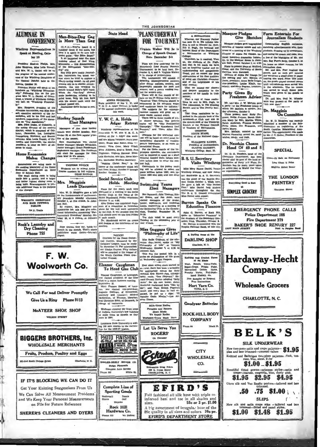